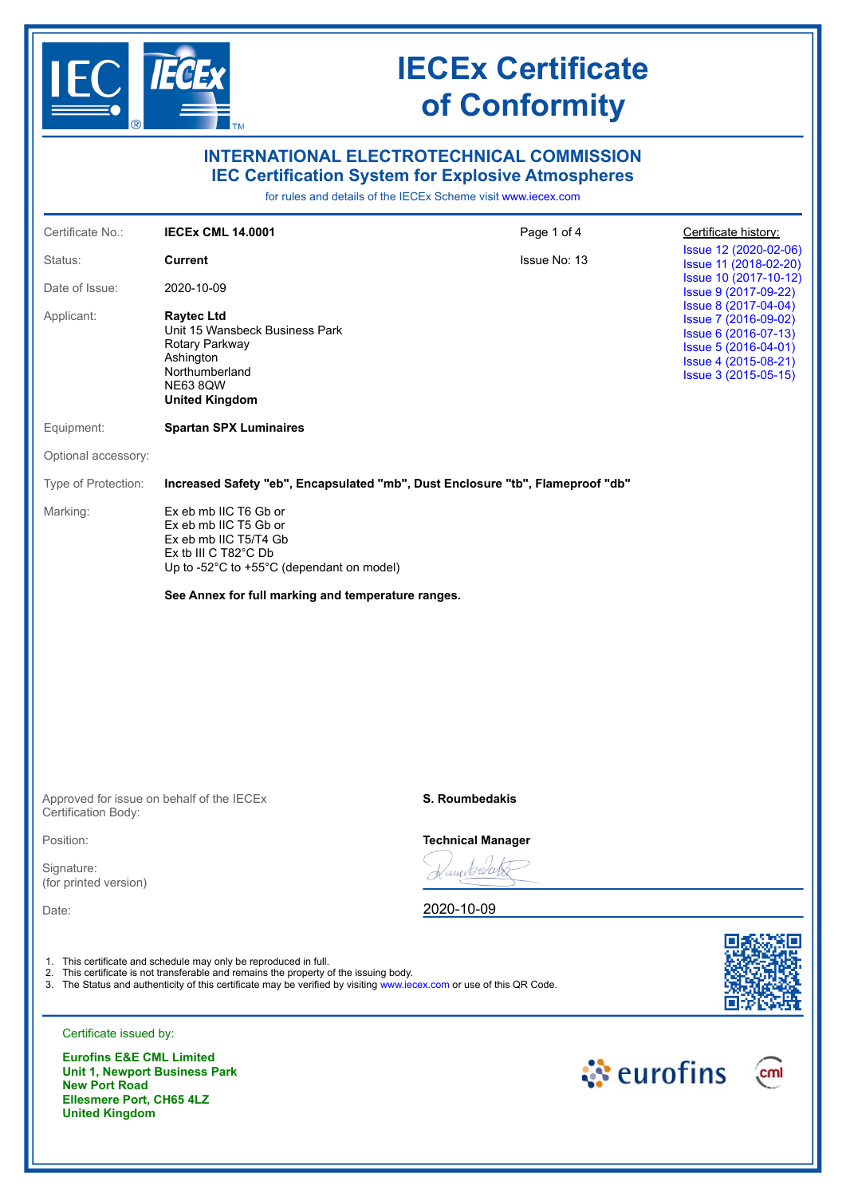

**Ellesmere Port, CH65 4LZ** 

**United Kingdom**

# **IECEx Certificate of Conformity**

|                                                             |                                                                                                                                                                                                                                                                                   | <b>INTERNATIONAL ELECTROTECHNICAL COMMISSION</b><br><b>IEC Certification System for Explosive Atmospheres</b><br>for rules and details of the IECEx Scheme visit www.iecex.com |                                                                                                                                              |
|-------------------------------------------------------------|-----------------------------------------------------------------------------------------------------------------------------------------------------------------------------------------------------------------------------------------------------------------------------------|--------------------------------------------------------------------------------------------------------------------------------------------------------------------------------|----------------------------------------------------------------------------------------------------------------------------------------------|
| Certificate No.:                                            | <b>IECEX CML 14.0001</b>                                                                                                                                                                                                                                                          | Page 1 of 4                                                                                                                                                                    | Certificate history:                                                                                                                         |
| Status:                                                     | <b>Current</b>                                                                                                                                                                                                                                                                    | <b>Issue No: 13</b>                                                                                                                                                            | Issue 12 (2020-02-06)<br>Issue 11 (2018-02-20)                                                                                               |
| Date of Issue:                                              | 2020-10-09                                                                                                                                                                                                                                                                        |                                                                                                                                                                                | Issue 10 (2017-10-12)<br>Issue 9 (2017-09-22)                                                                                                |
| Applicant:                                                  | <b>Raytec Ltd</b><br>Unit 15 Wansbeck Business Park<br>Rotary Parkway<br>Ashington<br>Northumberland<br><b>NE63 8QW</b><br><b>United Kingdom</b>                                                                                                                                  |                                                                                                                                                                                | Issue 8 (2017-04-04)<br>Issue 7 (2016-09-02)<br>Issue 6 (2016-07-13)<br>Issue 5 (2016-04-01)<br>Issue 4 (2015-08-21)<br>Issue 3 (2015-05-15) |
| Equipment:                                                  | <b>Spartan SPX Luminaires</b>                                                                                                                                                                                                                                                     |                                                                                                                                                                                |                                                                                                                                              |
| Optional accessory:                                         |                                                                                                                                                                                                                                                                                   |                                                                                                                                                                                |                                                                                                                                              |
| Type of Protection:                                         |                                                                                                                                                                                                                                                                                   | Increased Safety "eb", Encapsulated "mb", Dust Enclosure "tb", Flameproof "db"                                                                                                 |                                                                                                                                              |
| Marking:                                                    | Ex eb mb IIC T6 Gb or<br>Ex eb mb IIC T5 Gb or<br>Ex eb mb IIC T5/T4 Gb<br>Ex tb III C T82°C Db<br>Up to -52°C to +55°C (dependant on model)<br>See Annex for full marking and temperature ranges.                                                                                |                                                                                                                                                                                |                                                                                                                                              |
|                                                             |                                                                                                                                                                                                                                                                                   |                                                                                                                                                                                |                                                                                                                                              |
| Certification Body:                                         | Approved for issue on behalf of the IECEx                                                                                                                                                                                                                                         | <b>S. Roumbedakis</b>                                                                                                                                                          |                                                                                                                                              |
| Position:                                                   |                                                                                                                                                                                                                                                                                   | <b>Technical Manager</b>                                                                                                                                                       |                                                                                                                                              |
| Signature:<br>(for printed version)                         |                                                                                                                                                                                                                                                                                   |                                                                                                                                                                                |                                                                                                                                              |
| Date:                                                       |                                                                                                                                                                                                                                                                                   | 2020-10-09                                                                                                                                                                     |                                                                                                                                              |
|                                                             | 1. This certificate and schedule may only be reproduced in full.<br>2. This certificate is not transferable and remains the property of the issuing body.<br>3. The Status and authenticity of this certificate may be verified by visiting www.iecex.com or use of this QR Code. |                                                                                                                                                                                |                                                                                                                                              |
| Certificate issued by:                                      |                                                                                                                                                                                                                                                                                   |                                                                                                                                                                                |                                                                                                                                              |
| <b>Eurofins E&amp;E CML Limited</b><br><b>New Port Road</b> | <b>Unit 1, Newport Business Park</b>                                                                                                                                                                                                                                              |                                                                                                                                                                                | े eurofins<br>cm                                                                                                                             |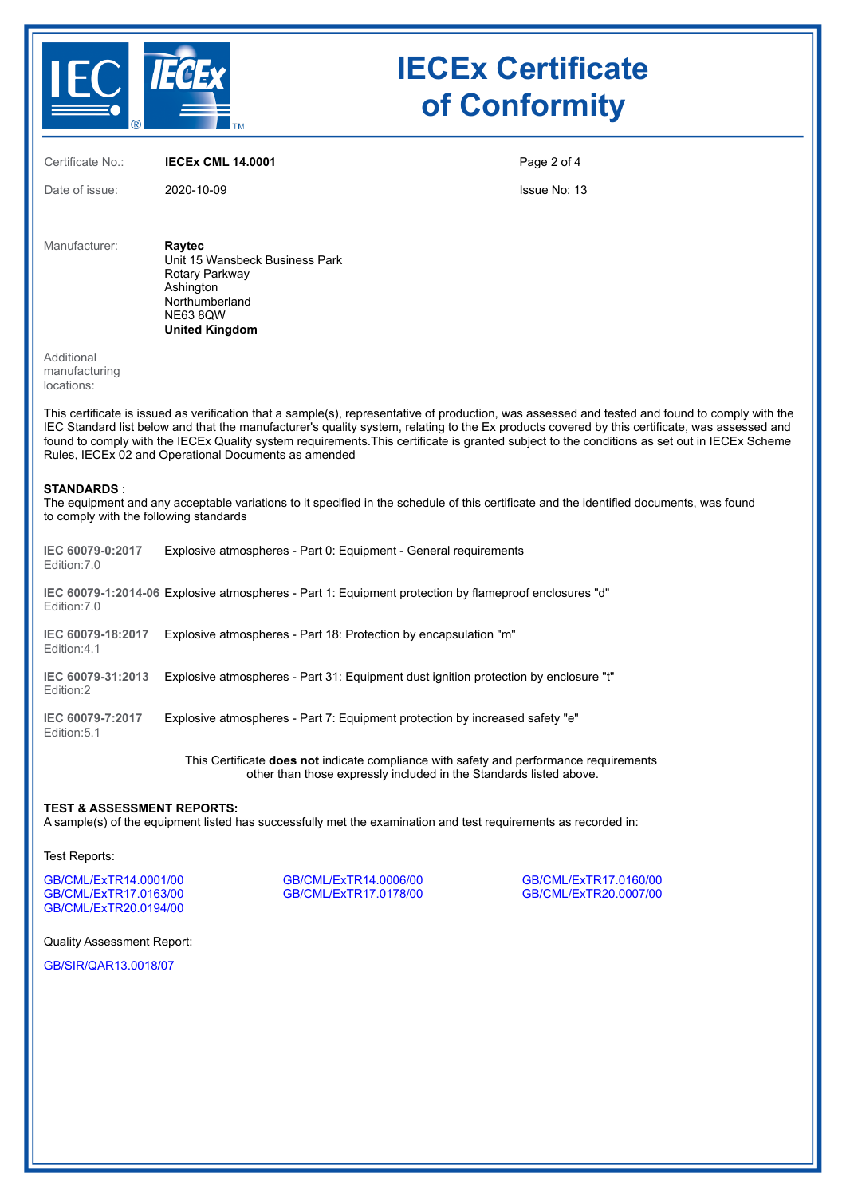

## **IECEx Certificate of Conformity**

Certificate No.: **IECEx CML 14.0001**

Date of issue: 2020-10-09

Page 2 of 4

Issue No: 13

Manufacturer: **Raytec** Unit 15 Wansbeck Business Park Rotary Parkway **Ashington** Northumberland NE63 8QW **United Kingdom**

Additional manufacturing locations:

This certificate is issued as verification that a sample(s), representative of production, was assessed and tested and found to comply with the IEC Standard list below and that the manufacturer's quality system, relating to the Ex products covered by this certificate, was assessed and found to comply with the IECEx Quality system requirements.This certificate is granted subject to the conditions as set out in IECEx Scheme Rules, IECEx 02 and Operational Documents as amended

#### **STANDARDS** :

The equipment and any acceptable variations to it specified in the schedule of this certificate and the identified documents, was found to comply with the following standards

| IEC 60079-0:2017<br>Edition: 7.0 | Explosive atmospheres - Part 0: Equipment - General requirements                                      |
|----------------------------------|-------------------------------------------------------------------------------------------------------|
| Edition: 7.0                     | "IEC 60079-1:2014-06 Explosive atmospheres - Part 1: Equipment protection by flameproof enclosures "d |
| IEC 60079-18:2017<br>Fdition:4.1 | Explosive atmospheres - Part 18: Protection by encapsulation "m"                                      |
| IEC 60079-31:2013<br>Fdition:2   | Explosive atmospheres - Part 31: Equipment dust ignition protection by enclosure "t"                  |
| IEC 60079-7:2017<br>Edition: 5.1 | Explosive atmospheres - Part 7: Equipment protection by increased safety "e"                          |

This Certificate **does not** indicate compliance with safety and performance requirements other than those expressly included in the Standards listed above.

#### **TEST & ASSESSMENT REPORTS:**

A sample(s) of the equipment listed has successfully met the examination and test requirements as recorded in:

Test Reports:

[GB/CML/ExTR14.0001/00](https://www.iecex-certs.com/deliverables/REPORT/20678/view) [GB/CML/ExTR14.0006/00](https://www.iecex-certs.com/deliverables/REPORT/20693/view) [GB/CML/ExTR17.0160/00](https://www.iecex-certs.com/deliverables/REPORT/22084/view) [GB/CML/ExTR20.0194/00](https://www.iecex-certs.com/deliverables/REPORT/67873/view)

[GB/CML/ExTR17.0178/00](https://www.iecex-certs.com/deliverables/REPORT/21388/view)

Quality Assessment Report:

[GB/SIR/QAR13.0018/07](https://www.iecex-certs.com/deliverables/REPORT/62863/view)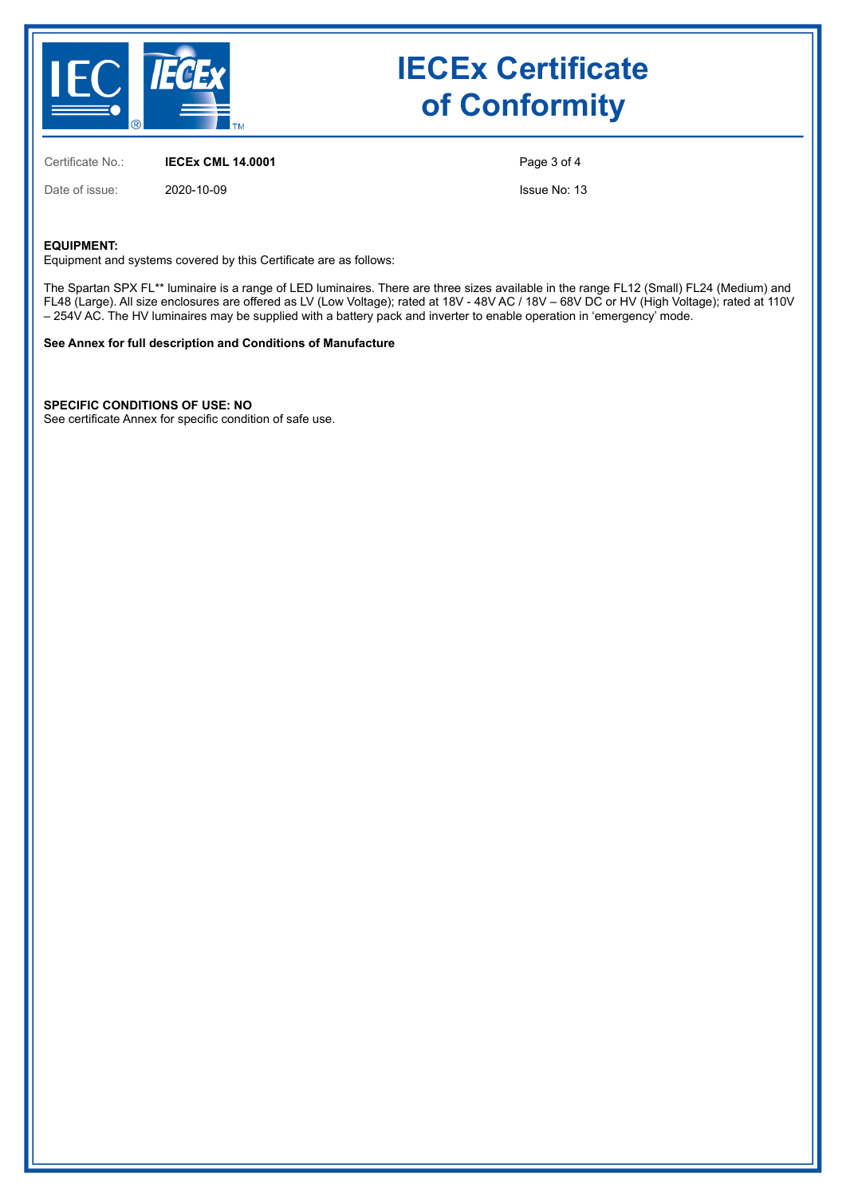

## **IECEx Certificate of Conformity**

Certificate No.: **IECEx CML 14.0001**

Page 3 of 4

Date of issue: 2020-10-09

Issue No: 13

#### **EQUIPMENT:**

Equipment and systems covered by this Certificate are as follows:

The Spartan SPX FL\*\* luminaire is a range of LED luminaires. There are three sizes available in the range FL12 (Small) FL24 (Medium) and FL48 (Large). All size enclosures are offered as LV (Low Voltage); rated at 18V - 48V AC / 18V – 68V DC or HV (High Voltage); rated at 110V – 254V AC. The HV luminaires may be supplied with a battery pack and inverter to enable operation in 'emergency' mode.

#### **See Annex for full description and Conditions of Manufacture**

**SPECIFIC CONDITIONS OF USE: NO**

See certificate Annex for specific condition of safe use.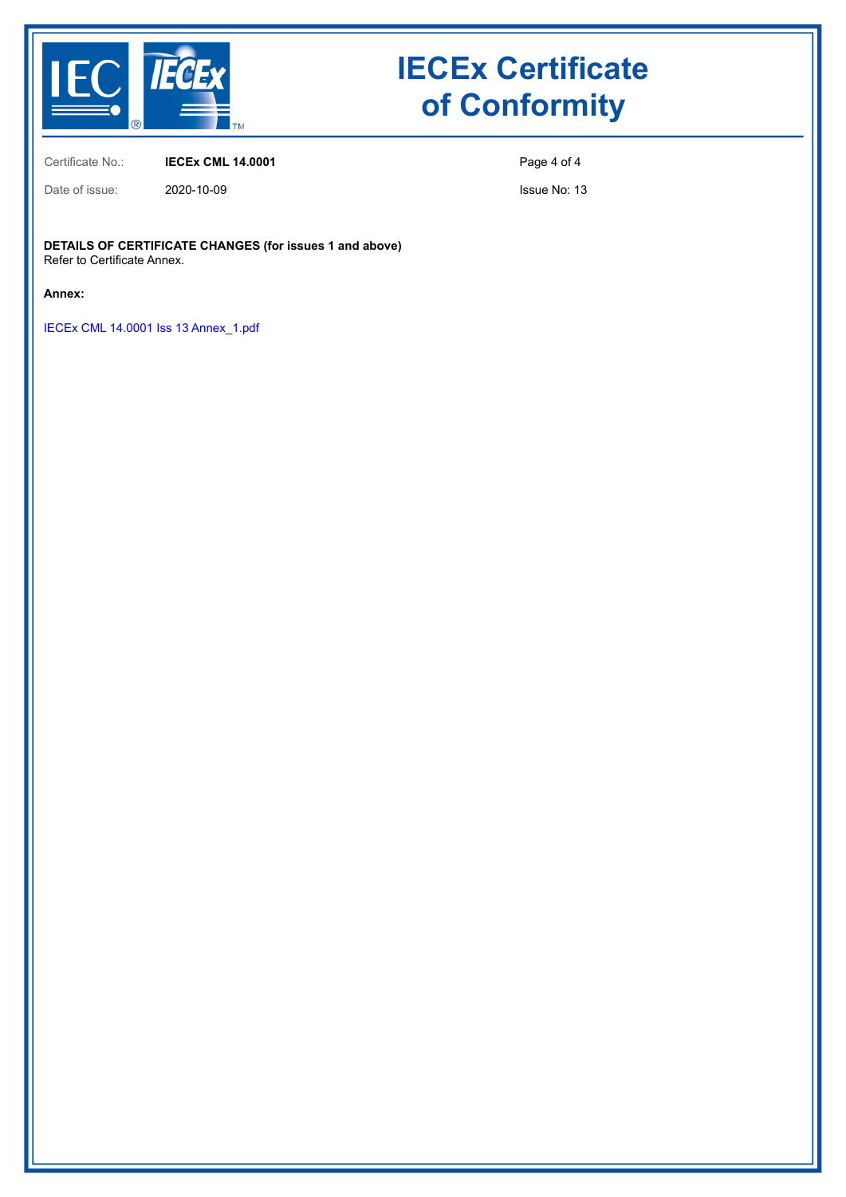

# **IECEx Certificate of Conformity**

Certificate No.: **IECEx CML 14.0001**

Date of issue: 2020-10-09

Page 4 of 4

Issue No: 13

**DETAILS OF CERTIFICATE CHANGES (for issues 1 and above)** Refer to Certificate Annex.

**Annex:**

[IECEx CML 14.0001 Iss 13 Annex\\_1.pdf](https://www.iecex-certs.com/deliverables/CERT/49904/view)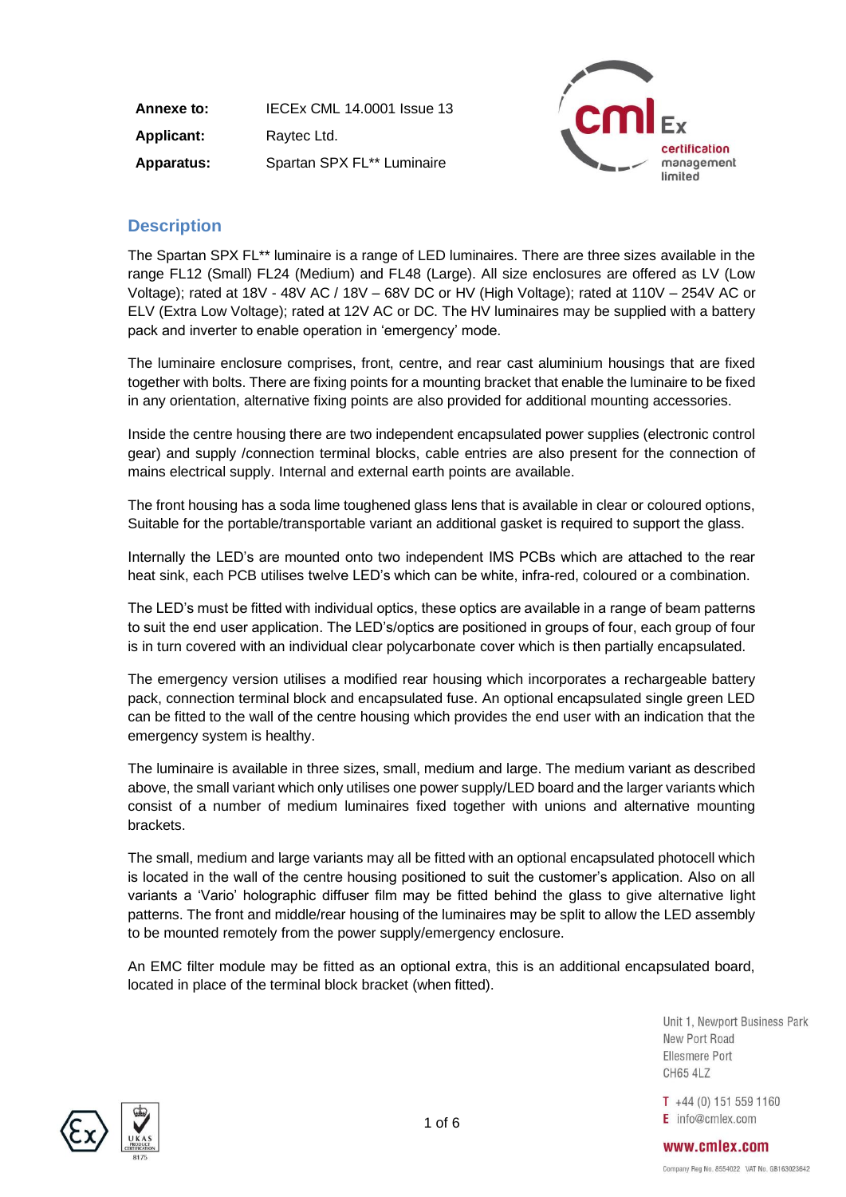| Annexe to:        | <b>IECEX CML 14.0001 Issue 13</b> |
|-------------------|-----------------------------------|
| <b>Applicant:</b> | Raytec Ltd.                       |
| <b>Apparatus:</b> | Spartan SPX FL** Luminaire        |



## **Description**

The Spartan SPX FL\*\* luminaire is a range of LED luminaires. There are three sizes available in the range FL12 (Small) FL24 (Medium) and FL48 (Large). All size enclosures are offered as LV (Low Voltage); rated at 18V - 48V AC / 18V – 68V DC or HV (High Voltage); rated at 110V – 254V AC or ELV (Extra Low Voltage); rated at 12V AC or DC. The HV luminaires may be supplied with a battery pack and inverter to enable operation in 'emergency' mode.

The luminaire enclosure comprises, front, centre, and rear cast aluminium housings that are fixed together with bolts. There are fixing points for a mounting bracket that enable the luminaire to be fixed in any orientation, alternative fixing points are also provided for additional mounting accessories.

Inside the centre housing there are two independent encapsulated power supplies (electronic control gear) and supply /connection terminal blocks, cable entries are also present for the connection of mains electrical supply. Internal and external earth points are available.

The front housing has a soda lime toughened glass lens that is available in clear or coloured options, Suitable for the portable/transportable variant an additional gasket is required to support the glass.

Internally the LED's are mounted onto two independent IMS PCBs which are attached to the rear heat sink, each PCB utilises twelve LED's which can be white, infra-red, coloured or a combination.

The LED's must be fitted with individual optics, these optics are available in a range of beam patterns to suit the end user application. The LED's/optics are positioned in groups of four, each group of four is in turn covered with an individual clear polycarbonate cover which is then partially encapsulated.

The emergency version utilises a modified rear housing which incorporates a rechargeable battery pack, connection terminal block and encapsulated fuse. An optional encapsulated single green LED can be fitted to the wall of the centre housing which provides the end user with an indication that the emergency system is healthy.

The luminaire is available in three sizes, small, medium and large. The medium variant as described above, the small variant which only utilises one power supply/LED board and the larger variants which consist of a number of medium luminaires fixed together with unions and alternative mounting brackets.

The small, medium and large variants may all be fitted with an optional encapsulated photocell which is located in the wall of the centre housing positioned to suit the customer's application. Also on all variants a 'Vario' holographic diffuser film may be fitted behind the glass to give alternative light patterns. The front and middle/rear housing of the luminaires may be split to allow the LED assembly to be mounted remotely from the power supply/emergency enclosure.

An EMC filter module may be fitted as an optional extra, this is an additional encapsulated board, located in place of the terminal block bracket (when fitted).

> Unit 1. Newport Business Park New Port Road Ellesmere Port **CH65 4LZ**

 $T +44(0)$  151 559 1160  $E$  info@cmlex.com



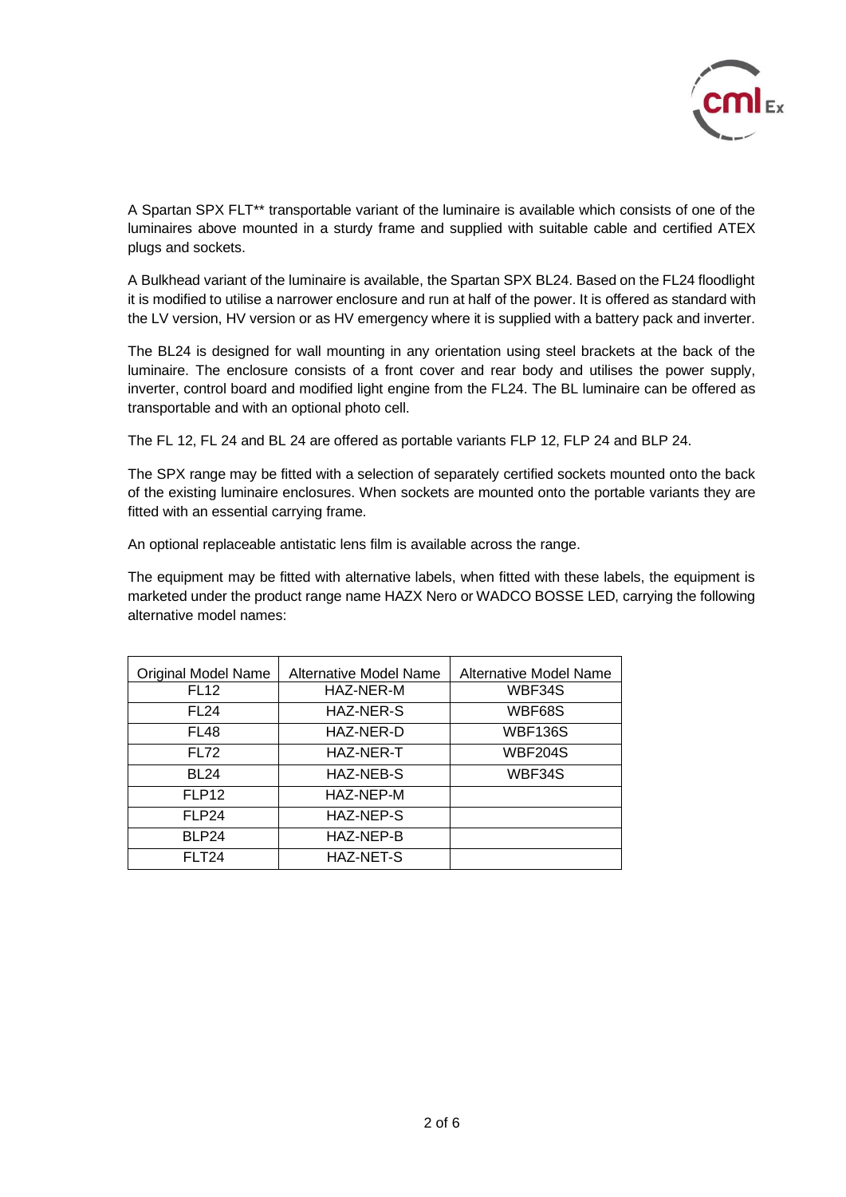

A Spartan SPX FLT\*\* transportable variant of the luminaire is available which consists of one of the luminaires above mounted in a sturdy frame and supplied with suitable cable and certified ATEX plugs and sockets.

A Bulkhead variant of the luminaire is available, the Spartan SPX BL24. Based on the FL24 floodlight it is modified to utilise a narrower enclosure and run at half of the power. It is offered as standard with the LV version, HV version or as HV emergency where it is supplied with a battery pack and inverter.

The BL24 is designed for wall mounting in any orientation using steel brackets at the back of the luminaire. The enclosure consists of a front cover and rear body and utilises the power supply, inverter, control board and modified light engine from the FL24. The BL luminaire can be offered as transportable and with an optional photo cell.

The FL 12, FL 24 and BL 24 are offered as portable variants FLP 12, FLP 24 and BLP 24.

The SPX range may be fitted with a selection of separately certified sockets mounted onto the back of the existing luminaire enclosures. When sockets are mounted onto the portable variants they are fitted with an essential carrying frame.

An optional replaceable antistatic lens film is available across the range.

The equipment may be fitted with alternative labels, when fitted with these labels, the equipment is marketed under the product range name HAZX Nero or WADCO BOSSE LED, carrying the following alternative model names:

| <b>Original Model Name</b> | Alternative Model Name | Alternative Model Name |
|----------------------------|------------------------|------------------------|
| <b>FL12</b>                | HAZ-NER-M              | WBF34S                 |
| <b>FL24</b>                | <b>HAZ-NER-S</b>       | WBF68S                 |
| FL48                       | HAZ-NER-D              | <b>WBF136S</b>         |
| <b>FL72</b>                | HAZ-NER-T              | <b>WBF204S</b>         |
| <b>BL24</b>                | HAZ-NEB-S              | WBF34S                 |
| FLP <sub>12</sub>          | HAZ-NEP-M              |                        |
| FLP24                      | HAZ-NEP-S              |                        |
| BLP24                      | HAZ-NEP-B              |                        |
| FLT24                      | <b>HAZ-NET-S</b>       |                        |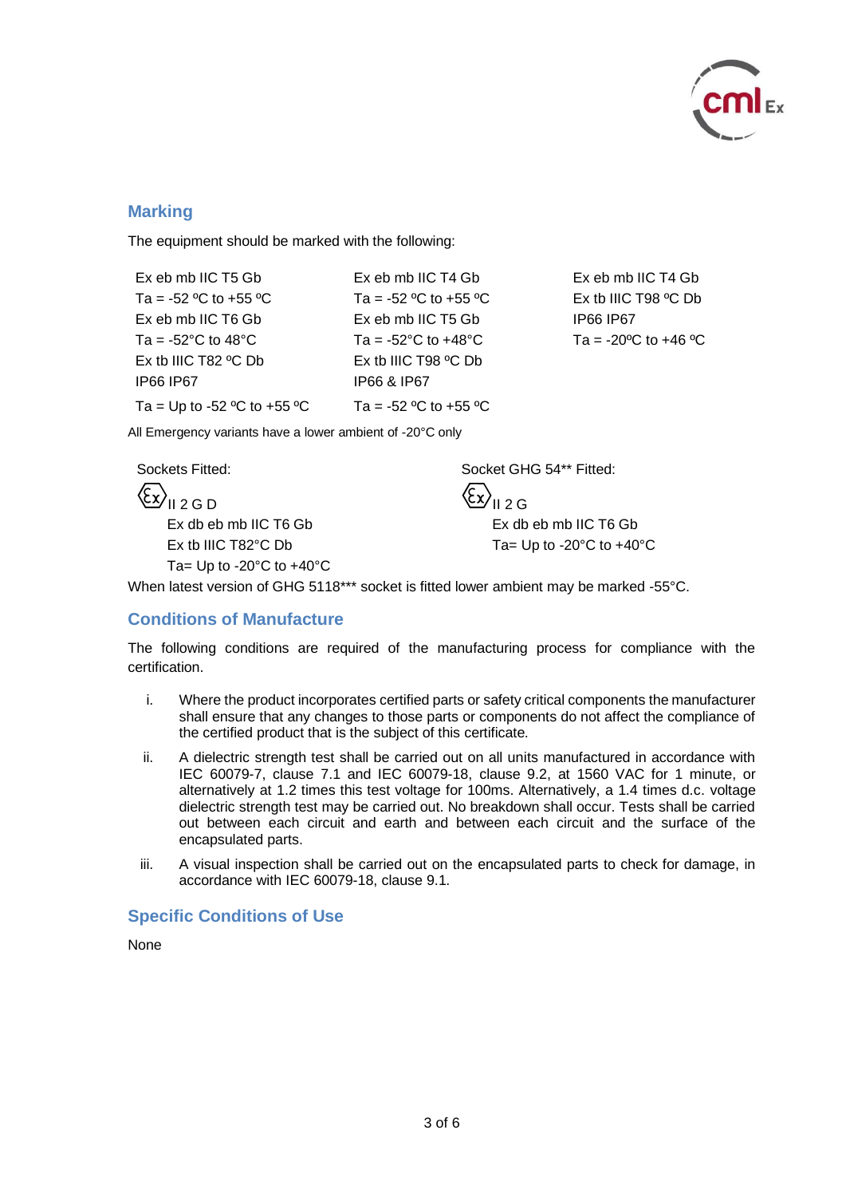

 $+46 °C$ 

### **Marking**

The equipment should be marked with the following:

| Ex eb mb IIC T5 Gb                            | Ex eb mb IIC T4 Gb                        | Ex eb mb IIC T4 Gb    |
|-----------------------------------------------|-------------------------------------------|-----------------------|
| Ta = -52 °C to +55 °C                         | Ta = -52 °C to +55 °C                     | Ex tb IIIC T98 °C Db  |
| Ex eb mb IIC T6 Gb                            | Ex eb mb IIC T5 Gb                        | <b>IP66 IP67</b>      |
| Ta = -52 $^{\circ}$ C to 48 $^{\circ}$ C      | Ta = -52 $^{\circ}$ C to +48 $^{\circ}$ C | Ta = -20 °C to +46 °C |
| Ex tb IIIC T82 $\degree$ C Db                 | Ex tb IIIC T98 $\degree$ C Db             |                       |
| <b>IP66 IP67</b>                              | IP66 & IP67                               |                       |
| Ta = Up to -52 $\degree$ C to +55 $\degree$ C | Ta = -52 °C to +55 °C                     |                       |

All Emergency variants have a lower ambient of -20°C only

 $\langle \xi x \rangle_{\text{H 2 G}}$ 

Ta= Up to  $-20^{\circ}$ C to  $+40^{\circ}$ C

Sockets Fitted: Socket GHG 54\*\* Fitted:

Ex db eb mb IIC T6 Gb Ex db eb mb IIC T6 Gb Ex tb IIIC T82°C Db  $\begin{array}{cc} \text{Ta} = \text{Up to -20}^{\circ}\text{C to +40}^{\circ}\text{C} \end{array}$ 

When latest version of GHG 5118\*\*\* socket is fitted lower ambient may be marked -55°C.

### **Conditions of Manufacture**

The following conditions are required of the manufacturing process for compliance with the certification.

- i. Where the product incorporates certified parts or safety critical components the manufacturer shall ensure that any changes to those parts or components do not affect the compliance of the certified product that is the subject of this certificate.
- ii. A dielectric strength test shall be carried out on all units manufactured in accordance with IEC 60079-7, clause 7.1 and IEC 60079-18, clause 9.2, at 1560 VAC for 1 minute, or alternatively at 1.2 times this test voltage for 100ms. Alternatively, a 1.4 times d.c. voltage dielectric strength test may be carried out. No breakdown shall occur. Tests shall be carried out between each circuit and earth and between each circuit and the surface of the encapsulated parts.
- iii. A visual inspection shall be carried out on the encapsulated parts to check for damage, in accordance with IEC 60079-18, clause 9.1.

## **Specific Conditions of Use**

None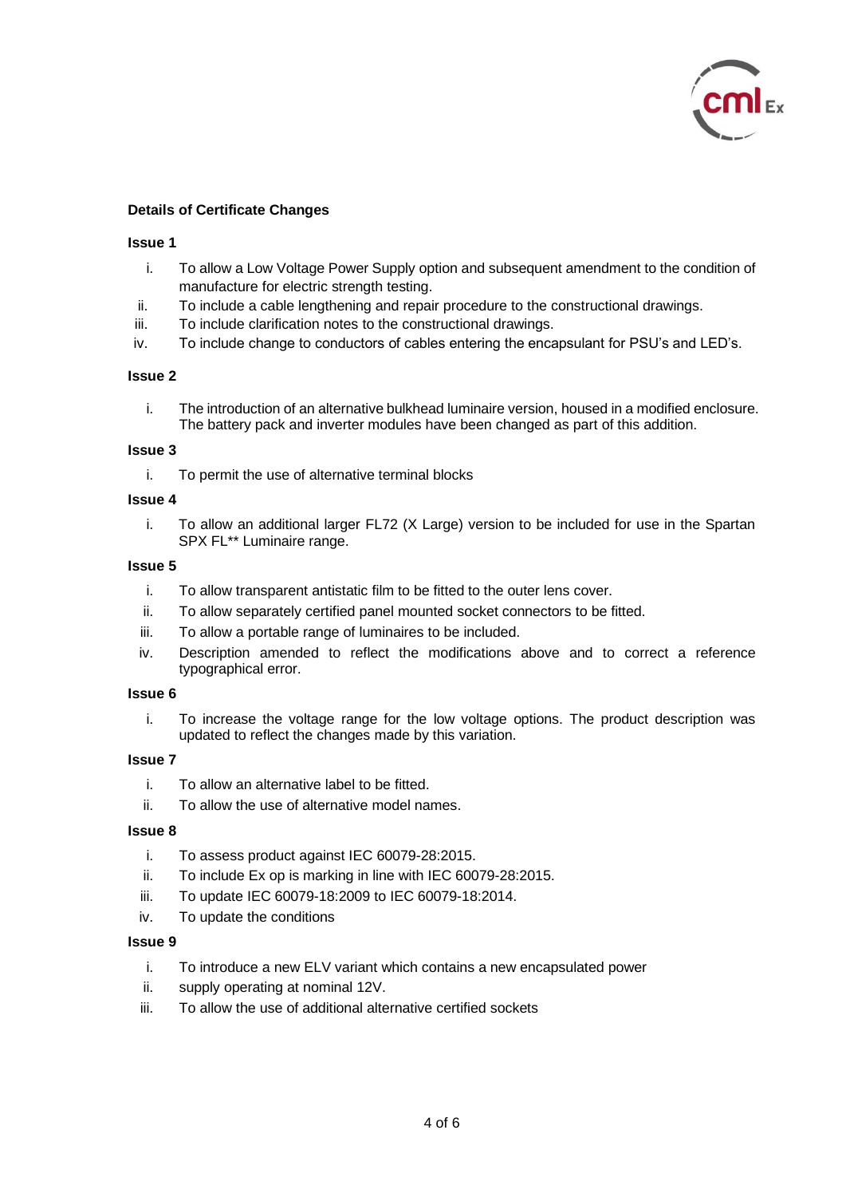

### **Details of Certificate Changes**

#### **Issue 1**

- i. To allow a Low Voltage Power Supply option and subsequent amendment to the condition of manufacture for electric strength testing.
- ii. To include a cable lengthening and repair procedure to the constructional drawings.
- iii. To include clarification notes to the constructional drawings.
- iv. To include change to conductors of cables entering the encapsulant for PSU's and LED's.

#### **Issue 2**

i. The introduction of an alternative bulkhead luminaire version, housed in a modified enclosure. The battery pack and inverter modules have been changed as part of this addition.

#### **Issue 3**

i. To permit the use of alternative terminal blocks

#### **Issue 4**

i. To allow an additional larger FL72 (X Large) version to be included for use in the Spartan SPX FL\*\* Luminaire range.

#### **Issue 5**

- i. To allow transparent antistatic film to be fitted to the outer lens cover.
- ii. To allow separately certified panel mounted socket connectors to be fitted.
- iii. To allow a portable range of luminaires to be included.
- iv. Description amended to reflect the modifications above and to correct a reference typographical error.

#### **Issue 6**

i. To increase the voltage range for the low voltage options. The product description was updated to reflect the changes made by this variation.

### **Issue 7**

- i. To allow an alternative label to be fitted.
- ii. To allow the use of alternative model names.

#### **Issue 8**

- i. To assess product against IEC 60079-28:2015.
- ii. To include Ex op is marking in line with IEC 60079-28:2015.
- iii. To update IEC 60079-18:2009 to IEC 60079-18:2014.
- iv. To update the conditions

#### **Issue 9**

- i. To introduce a new ELV variant which contains a new encapsulated power
- ii. supply operating at nominal 12V.
- iii. To allow the use of additional alternative certified sockets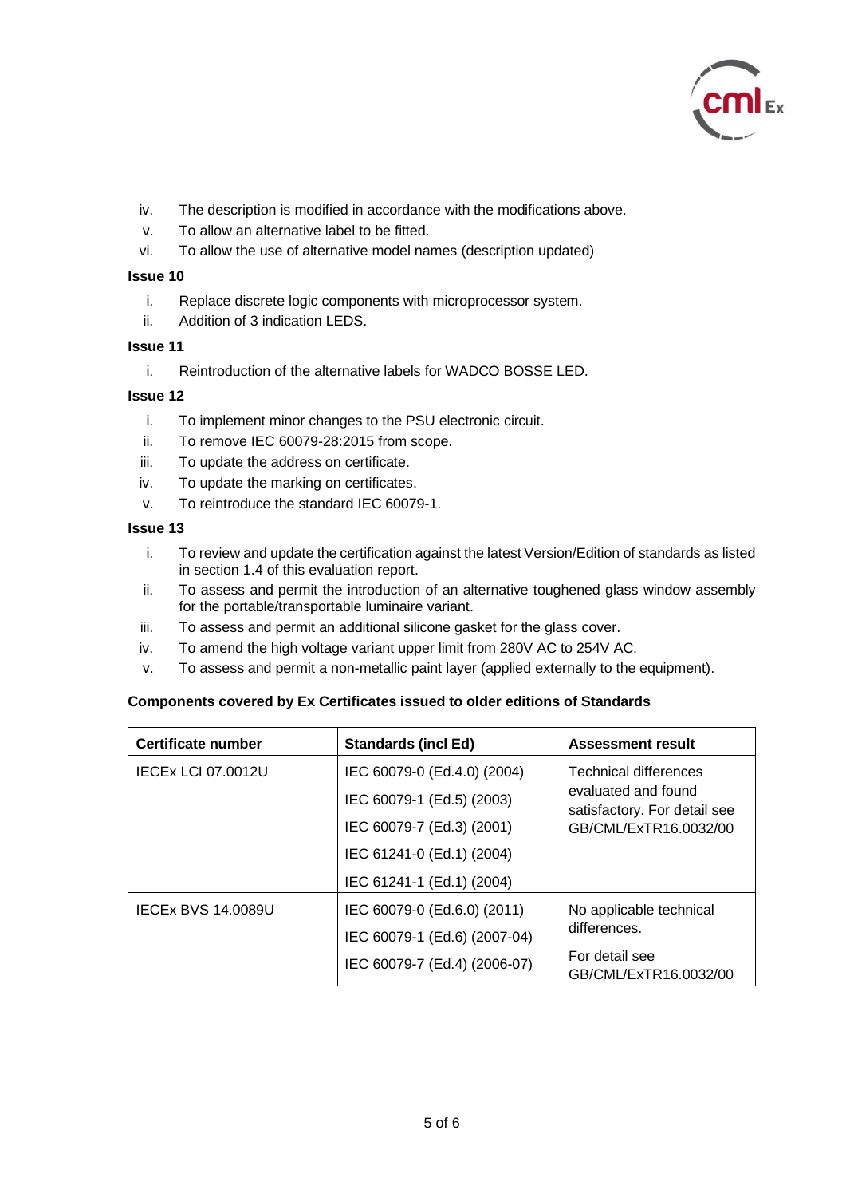

- iv. The description is modified in accordance with the modifications above.
- v. To allow an alternative label to be fitted.
- vi. To allow the use of alternative model names (description updated)

#### **Issue 10**

- i. Replace discrete logic components with microprocessor system.
- ii. Addition of 3 indication LEDS.

### **Issue 11**

i. Reintroduction of the alternative labels for WADCO BOSSE LED.

### **Issue 12**

- i. To implement minor changes to the PSU electronic circuit.
- ii. To remove IEC 60079-28:2015 from scope.
- iii. To update the address on certificate.
- iv. To update the marking on certificates.
- v. To reintroduce the standard IEC 60079-1.

#### **Issue 13**

- i. To review and update the certification against the latest Version/Edition of standards as listed in section 1.4 of this evaluation report.
- ii. To assess and permit the introduction of an alternative toughened glass window assembly for the portable/transportable luminaire variant.
- iii. To assess and permit an additional silicone gasket for the glass cover.
- iv. To amend the high voltage variant upper limit from 280V AC to 254V AC.
- v. To assess and permit a non-metallic paint layer (applied externally to the equipment).

### **Components covered by Ex Certificates issued to older editions of Standards**

| Certificate number        | <b>Standards (incl Ed)</b>   | <b>Assessment result</b>                                                                                     |
|---------------------------|------------------------------|--------------------------------------------------------------------------------------------------------------|
| <b>IECEX LCI 07.0012U</b> | IEC 60079-0 (Ed.4.0) (2004)  | <b>Technical differences</b><br>evaluated and found<br>satisfactory. For detail see<br>GB/CML/ExTR16.0032/00 |
|                           | IEC 60079-1 (Ed.5) (2003)    |                                                                                                              |
|                           | IEC 60079-7 (Ed.3) (2001)    |                                                                                                              |
|                           | IEC 61241-0 (Ed.1) (2004)    |                                                                                                              |
|                           | IEC 61241-1 (Ed.1) (2004)    |                                                                                                              |
| <b>IECEX BVS 14,0089U</b> | IEC 60079-0 (Ed.6.0) (2011)  | No applicable technical                                                                                      |
|                           | IEC 60079-1 (Ed.6) (2007-04) | differences.                                                                                                 |
|                           | IEC 60079-7 (Ed.4) (2006-07) | For detail see<br>GB/CML/ExTR16.0032/00                                                                      |